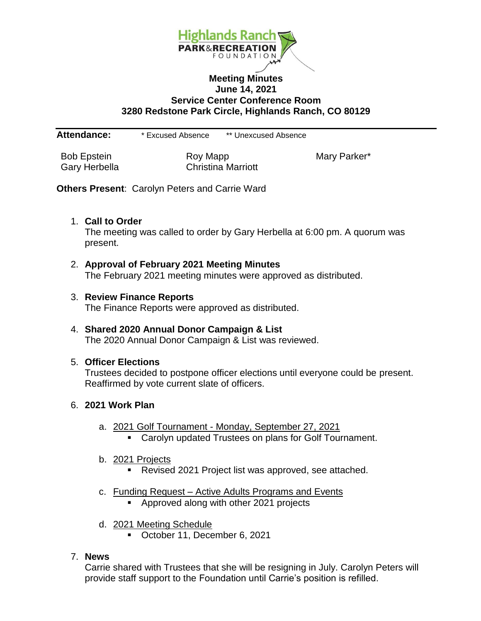

### **Meeting Minutes June 14, 2021 Service Center Conference Room 3280 Redstone Park Circle, Highlands Ranch, CO 80129**

**Attendance:** \* Excused Absence \*\* Unexcused Absence

Bob Epstein **Roy Mapp** Roy Mapp Mary Parker\* Gary Herbella Christina Marriott

**Others Present**: Carolyn Peters and Carrie Ward

### 1. **Call to Order**

The meeting was called to order by Gary Herbella at 6:00 pm. A quorum was present.

- 2. **Approval of February 2021 Meeting Minutes** The February 2021 meeting minutes were approved as distributed.
- 3. **Review Finance Reports** The Finance Reports were approved as distributed.
- 4. **Shared 2020 Annual Donor Campaign & List** The 2020 Annual Donor Campaign & List was reviewed.

### 5. **Officer Elections**

Trustees decided to postpone officer elections until everyone could be present. Reaffirmed by vote current slate of officers.

### 6. **2021 Work Plan**

- a. 2021 Golf Tournament Monday, September 27, 2021
	- Carolyn updated Trustees on plans for Golf Tournament.
- b. 2021 Projects
	- **Revised 2021 Project list was approved, see attached.**
- c. Funding Request Active Adults Programs and Events
	- **Approved along with other 2021 projects**
- d. 2021 Meeting Schedule
	- October 11, December 6, 2021

## 7. **News**

Carrie shared with Trustees that she will be resigning in July. Carolyn Peters will provide staff support to the Foundation until Carrie's position is refilled.